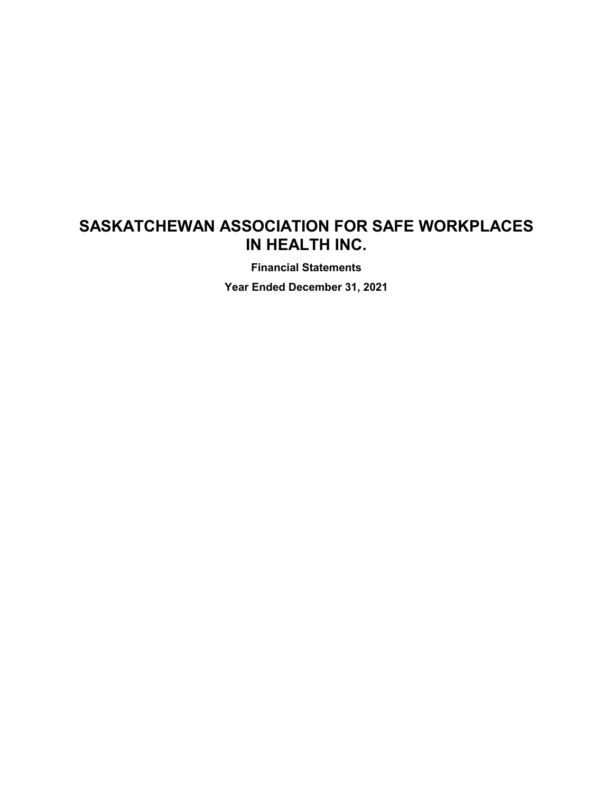**Financial Statements**

**Year Ended December 31, 2021**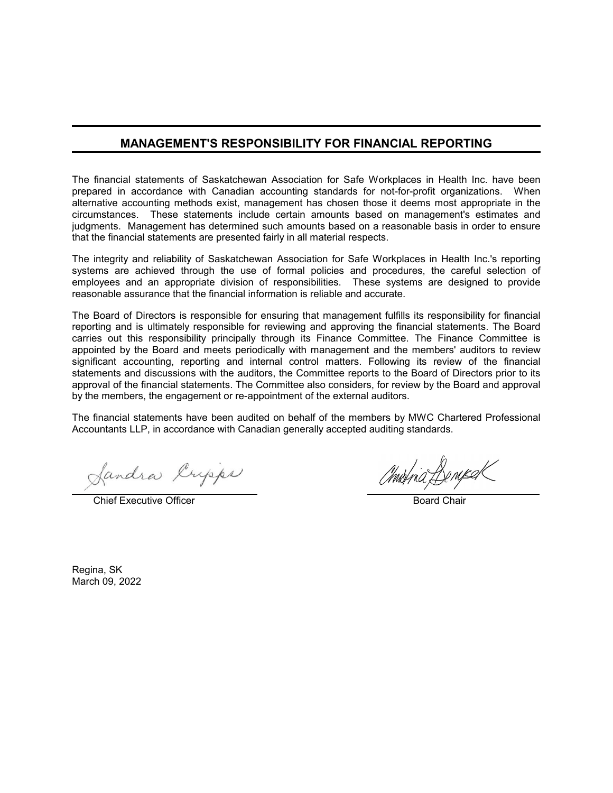# **MANAGEMENT'S RESPONSIBILITY FOR FINANCIAL REPORTING**

The financial statements of Saskatchewan Association for Safe Workplaces in Health Inc. have been prepared in accordance with Canadian accounting standards for not-for-profit organizations. When alternative accounting methods exist, management has chosen those it deems most appropriate in the circumstances. These statements include certain amounts based on management's estimates and judgments. Management has determined such amounts based on a reasonable basis in order to ensure that the financial statements are presented fairly in all material respects.

The integrity and reliability of Saskatchewan Association for Safe Workplaces in Health Inc.'s reporting systems are achieved through the use of formal policies and procedures, the careful selection of employees and an appropriate division of responsibilities. These systems are designed to provide reasonable assurance that the financial information is reliable and accurate.

The Board of Directors is responsible for ensuring that management fulfills its responsibility for financial reporting and is ultimately responsible for reviewing and approving the financial statements. The Board carries out this responsibility principally through its Finance Committee. The Finance Committee is appointed by the Board and meets periodically with management and the members' auditors to review significant accounting, reporting and internal control matters. Following its review of the financial statements and discussions with the auditors, the Committee reports to the Board of Directors prior to its approval of the financial statements. The Committee also considers, for review by the Board and approval by the members, the engagement or re-appointment of the external auditors.

The financial statements have been audited on behalf of the members by MWC Chartered Professional Accountants LLP, in accordance with Canadian generally accepted auditing standards.

fandra Crysps

**Chief Executive Officer Board Chair** Board Chair

Regina, SK March 09, 2022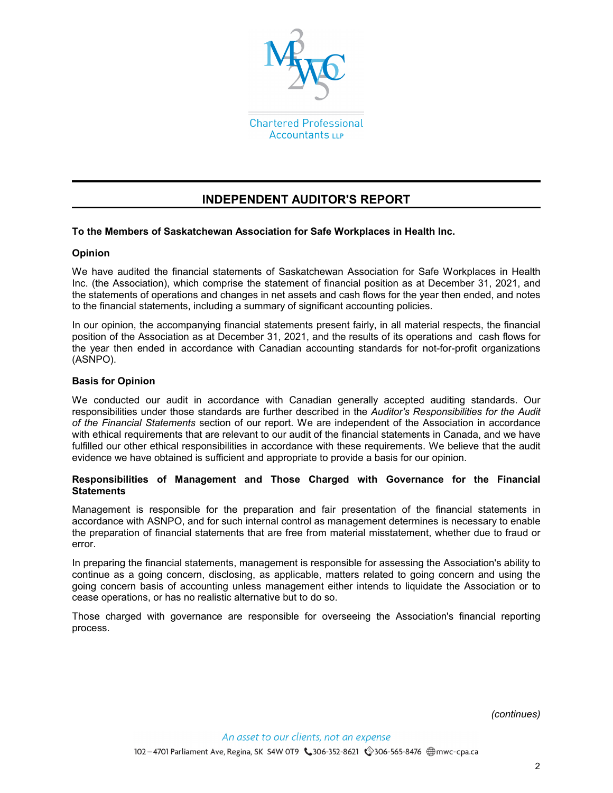

# **INDEPENDENT AUDITOR'S REPORT**

## **To the Members of Saskatchewan Association for Safe Workplaces in Health Inc.**

#### **Opinion**

We have audited the financial statements of Saskatchewan Association for Safe Workplaces in Health Inc. (the Association), which comprise the statement of financial position as at December 31, 2021, and the statements of operations and changes in net assets and cash flows for the year then ended, and notes to the financial statements, including a summary of significant accounting policies.

In our opinion, the accompanying financial statements present fairly, in all material respects, the financial position of the Association as at December 31, 2021, and the results of its operations and cash flows for the year then ended in accordance with Canadian accounting standards for not-for-profit organizations (ASNPO).

#### **Basis for Opinion**

We conducted our audit in accordance with Canadian generally accepted auditing standards. Our responsibilities under those standards are further described in the *Auditor's Responsibilities for the Audit of the Financial Statements* section of our report. We are independent of the Association in accordance with ethical requirements that are relevant to our audit of the financial statements in Canada, and we have fulfilled our other ethical responsibilities in accordance with these requirements. We believe that the audit evidence we have obtained is sufficient and appropriate to provide a basis for our opinion.

#### **Responsibilities of Management and Those Charged with Governance for the Financial Statements**

Management is responsible for the preparation and fair presentation of the financial statements in accordance with ASNPO, and for such internal control as management determines is necessary to enable the preparation of financial statements that are free from material misstatement, whether due to fraud or error.

In preparing the financial statements, management is responsible for assessing the Association's ability to continue as a going concern, disclosing, as applicable, matters related to going concern and using the going concern basis of accounting unless management either intends to liquidate the Association or to cease operations, or has no realistic alternative but to do so.

Those charged with governance are responsible for overseeing the Association's financial reporting process.

*(continues)*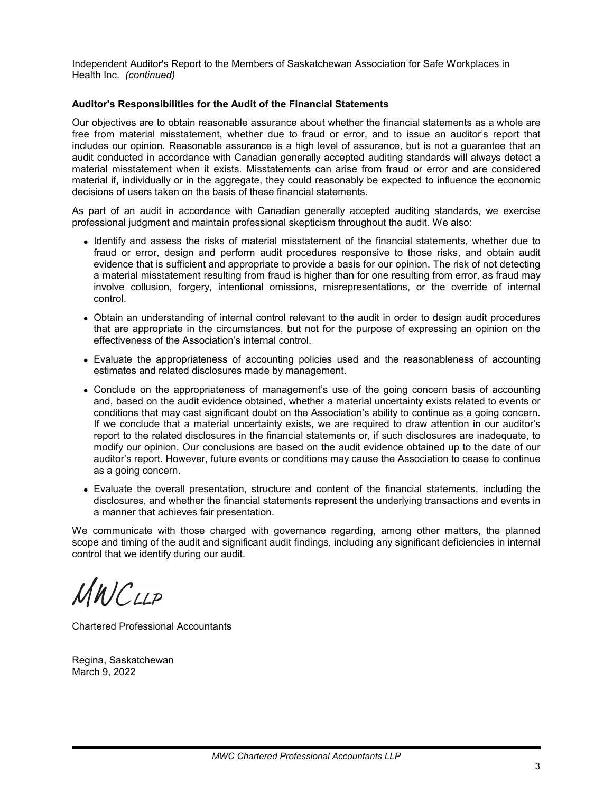Independent Auditor's Report to the Members of Saskatchewan Association for Safe Workplaces in Health Inc. *(continued)*

#### **Auditor's Responsibilities for the Audit of the Financial Statements**

Our objectives are to obtain reasonable assurance about whether the financial statements as a whole are free from material misstatement, whether due to fraud or error, and to issue an auditor's report that includes our opinion. Reasonable assurance is a high level of assurance, but is not a guarantee that an audit conducted in accordance with Canadian generally accepted auditing standards will always detect a material misstatement when it exists. Misstatements can arise from fraud or error and are considered material if, individually or in the aggregate, they could reasonably be expected to influence the economic decisions of users taken on the basis of these financial statements.

As part of an audit in accordance with Canadian generally accepted auditing standards, we exercise professional judgment and maintain professional skepticism throughout the audit. We also:

- Identify and assess the risks of material misstatement of the financial statements, whether due to fraud or error, design and perform audit procedures responsive to those risks, and obtain audit evidence that is sufficient and appropriate to provide a basis for our opinion. The risk of not detecting a material misstatement resulting from fraud is higher than for one resulting from error, as fraud may involve collusion, forgery, intentional omissions, misrepresentations, or the override of internal control.
- Obtain an understanding of internal control relevant to the audit in order to design audit procedures that are appropriate in the circumstances, but not for the purpose of expressing an opinion on the effectiveness of the Association's internal control.
- Evaluate the appropriateness of accounting policies used and the reasonableness of accounting estimates and related disclosures made by management.
- Conclude on the appropriateness of management's use of the going concern basis of accounting and, based on the audit evidence obtained, whether a material uncertainty exists related to events or conditions that may cast significant doubt on the Association's ability to continue as a going concern. If we conclude that a material uncertainty exists, we are required to draw attention in our auditor's report to the related disclosures in the financial statements or, if such disclosures are inadequate, to modify our opinion. Our conclusions are based on the audit evidence obtained up to the date of our auditor's report. However, future events or conditions may cause the Association to cease to continue as a going concern.
- Evaluate the overall presentation, structure and content of the financial statements, including the disclosures, and whether the financial statements represent the underlying transactions and events in a manner that achieves fair presentation.

We communicate with those charged with governance regarding, among other matters, the planned scope and timing of the audit and significant audit findings, including any significant deficiencies in internal control that we identify during our audit.

MWCLLP

Chartered Professional Accountants

Regina, Saskatchewan March 9, 2022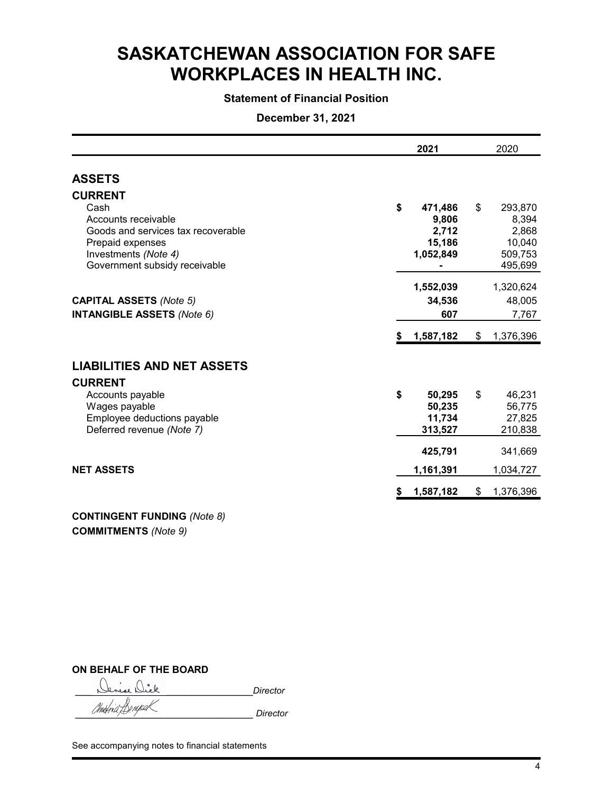# **Statement of Financial Position**

# **December 31, 2021**

|                                                                                                                                                                  |    | 2021                                             | 2020                                                            |
|------------------------------------------------------------------------------------------------------------------------------------------------------------------|----|--------------------------------------------------|-----------------------------------------------------------------|
| <b>ASSETS</b>                                                                                                                                                    |    |                                                  |                                                                 |
| <b>CURRENT</b><br>Cash<br>Accounts receivable<br>Goods and services tax recoverable<br>Prepaid expenses<br>Investments (Note 4)<br>Government subsidy receivable | \$ | 471,486<br>9,806<br>2,712<br>15,186<br>1,052,849 | \$<br>293,870<br>8,394<br>2,868<br>10,040<br>509,753<br>495,699 |
| <b>CAPITAL ASSETS (Note 5)</b><br><b>INTANGIBLE ASSETS (Note 6)</b>                                                                                              |    | 1,552,039<br>34,536<br>607                       | 1,320,624<br>48,005<br>7,767                                    |
|                                                                                                                                                                  | S. | 1,587,182                                        | \$<br>1,376,396                                                 |
| <b>LIABILITIES AND NET ASSETS</b>                                                                                                                                |    |                                                  |                                                                 |
| <b>CURRENT</b><br>Accounts payable<br>Wages payable<br>Employee deductions payable<br>Deferred revenue (Note 7)                                                  | \$ | 50,295<br>50,235<br>11,734<br>313,527            | \$<br>46,231<br>56,775<br>27,825<br>210,838                     |
|                                                                                                                                                                  |    | 425,791                                          | 341,669                                                         |
| <b>NET ASSETS</b>                                                                                                                                                |    | 1,161,391                                        | 1,034,727                                                       |
|                                                                                                                                                                  | S  | 1,587,182                                        | \$<br>1,376,396                                                 |
|                                                                                                                                                                  |    |                                                  |                                                                 |

**CONTINGENT FUNDING** *(Note 8)* **COMMITMENTS** *(Note 9)*

## **ON BEHALF OF THE BOARD**

\_\_\_\_\_\_\_\_\_\_\_\_\_\_\_\_\_\_\_\_\_\_\_\_\_\_\_\_\_*Director*

\_\_\_\_\_\_\_\_\_\_\_\_\_\_\_\_\_\_\_\_\_\_\_\_\_\_\_\_\_ *Director*

See accompanying notes to financial statements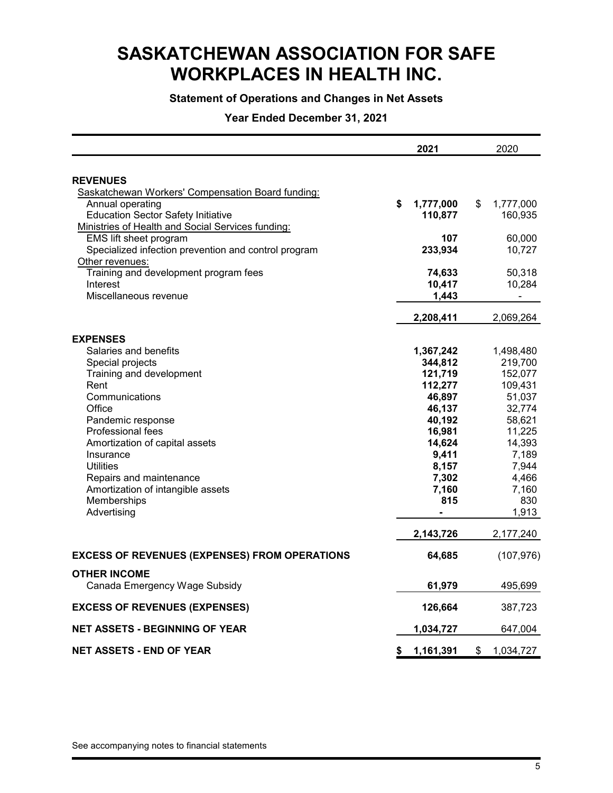# **Statement of Operations and Changes in Net Assets**

# **Year Ended December 31, 2021**

|                                                          | 2021            | 2020             |
|----------------------------------------------------------|-----------------|------------------|
|                                                          |                 |                  |
| <b>REVENUES</b>                                          |                 |                  |
| Saskatchewan Workers' Compensation Board funding:        |                 |                  |
| Annual operating                                         | \$<br>1,777,000 | \$<br>1,777,000  |
| <b>Education Sector Safety Initiative</b>                | 110,877         | 160,935          |
| Ministries of Health and Social Services funding:        | 107             |                  |
| EMS lift sheet program                                   | 233,934         | 60,000<br>10,727 |
| Specialized infection prevention and control program     |                 |                  |
| Other revenues:<br>Training and development program fees | 74,633          | 50,318           |
| Interest                                                 | 10,417          | 10,284           |
| Miscellaneous revenue                                    | 1,443           | $\overline{a}$   |
|                                                          |                 |                  |
|                                                          | 2,208,411       | 2,069,264        |
| <b>EXPENSES</b>                                          |                 |                  |
| Salaries and benefits                                    | 1,367,242       | 1,498,480        |
| Special projects                                         | 344,812         | 219,700          |
| Training and development                                 | 121,719         | 152,077          |
| Rent                                                     | 112,277         | 109,431          |
| Communications                                           | 46,897          | 51,037           |
| Office                                                   | 46,137          | 32,774           |
| Pandemic response                                        | 40,192          | 58,621           |
| <b>Professional fees</b>                                 | 16,981          | 11,225           |
| Amortization of capital assets                           | 14,624          | 14,393           |
| Insurance                                                | 9,411           | 7,189            |
| <b>Utilities</b>                                         | 8,157           | 7,944            |
| Repairs and maintenance                                  | 7,302           | 4,466            |
| Amortization of intangible assets                        | 7,160           | 7,160            |
| Memberships                                              | 815             | 830              |
| Advertising                                              |                 | 1.913            |
|                                                          | 2,143,726       | 2,177,240        |
| <b>EXCESS OF REVENUES (EXPENSES) FROM OPERATIONS</b>     | 64,685          | (107, 976)       |
| <b>OTHER INCOME</b>                                      |                 |                  |
| Canada Emergency Wage Subsidy                            | 61,979          | 495,699          |
| <b>EXCESS OF REVENUES (EXPENSES)</b>                     | 126,664         | 387,723          |
|                                                          |                 |                  |
| NET ASSETS - BEGINNING OF YEAR                           | 1,034,727       | 647,004          |
| <b>NET ASSETS - END OF YEAR</b>                          | \$<br>1,161,391 | \$<br>1,034,727  |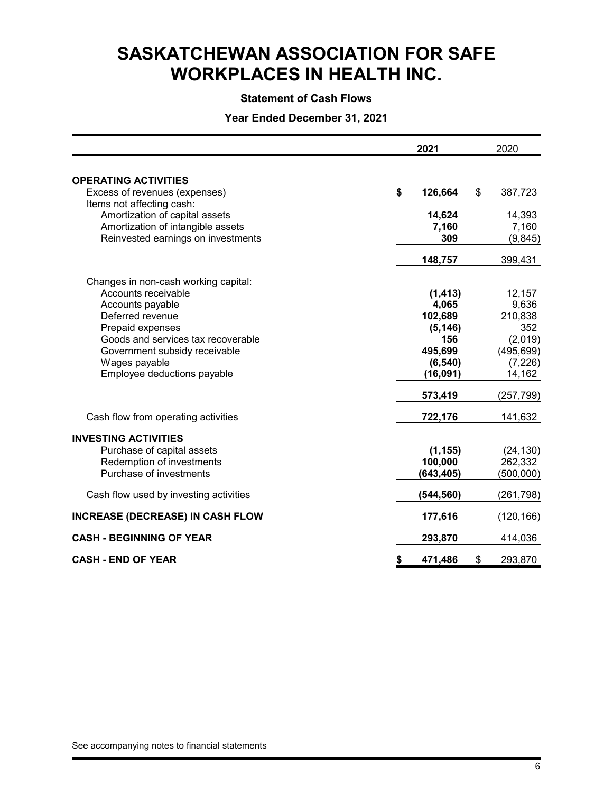## **Statement of Cash Flows**

**Year Ended December 31, 2021**

|                                                                     | 2021            | 2020            |
|---------------------------------------------------------------------|-----------------|-----------------|
| <b>OPERATING ACTIVITIES</b>                                         |                 |                 |
| Excess of revenues (expenses)                                       | \$<br>126,664   | \$<br>387,723   |
| Items not affecting cash:                                           |                 |                 |
| Amortization of capital assets<br>Amortization of intangible assets | 14,624<br>7,160 | 14,393<br>7,160 |
| Reinvested earnings on investments                                  | 309             | (9, 845)        |
|                                                                     |                 |                 |
|                                                                     | 148,757         | 399,431         |
| Changes in non-cash working capital:                                |                 |                 |
| Accounts receivable                                                 | (1, 413)        | 12,157          |
| Accounts payable                                                    | 4,065           | 9,636           |
| Deferred revenue                                                    | 102,689         | 210,838         |
| Prepaid expenses                                                    | (5, 146)        | 352             |
| Goods and services tax recoverable                                  | 156             | (2,019)         |
| Government subsidy receivable                                       | 495,699         | (495, 699)      |
| Wages payable                                                       | (6, 540)        | (7, 226)        |
| Employee deductions payable                                         | (16, 091)       | 14,162          |
|                                                                     | 573,419         | (257, 799)      |
| Cash flow from operating activities                                 | 722,176         | 141,632         |
| <b>INVESTING ACTIVITIES</b>                                         |                 |                 |
| Purchase of capital assets                                          | (1, 155)        | (24, 130)       |
| Redemption of investments                                           | 100,000         | 262,332         |
| Purchase of investments                                             | (643, 405)      | (500,000)       |
| Cash flow used by investing activities                              | (544, 560)      | (261, 798)      |
| <b>INCREASE (DECREASE) IN CASH FLOW</b>                             | 177,616         | (120, 166)      |
| <b>CASH - BEGINNING OF YEAR</b>                                     | 293,870         | 414,036         |
| <b>CASH - END OF YEAR</b>                                           | \$<br>471,486   | \$<br>293,870   |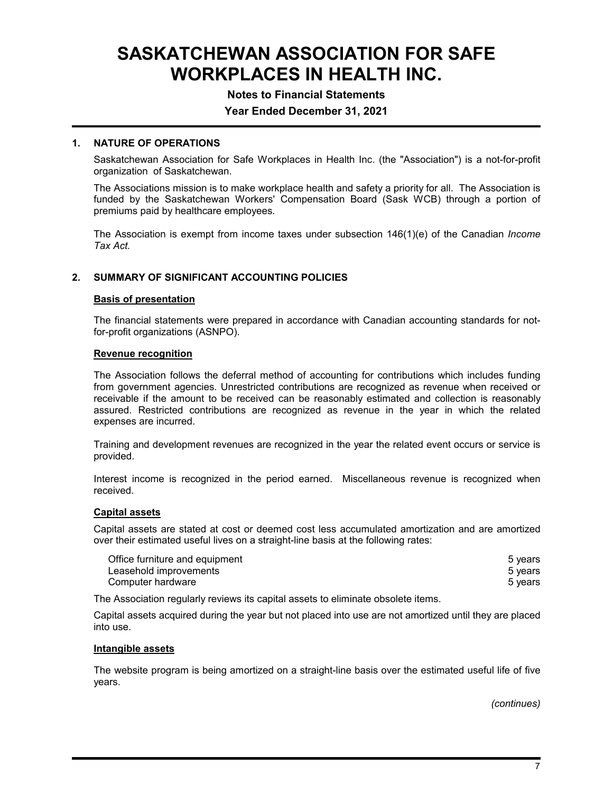## **Notes to Financial Statements**

# **Year Ended December 31, 2021**

#### **1. NATURE OF OPERATIONS**

Saskatchewan Association for Safe Workplaces in Health Inc. (the "Association") is a not-for-profit organization of Saskatchewan.

The Associations mission is to make workplace health and safety a priority for all. The Association is funded by the Saskatchewan Workers' Compensation Board (Sask WCB) through a portion of premiums paid by healthcare employees.

The Association is exempt from income taxes under subsection 146(1)(e) of the Canadian *Income Tax Act.*

#### **2. SUMMARY OF SIGNIFICANT ACCOUNTING POLICIES**

#### **Basis of presentation**

The financial statements were prepared in accordance with Canadian accounting standards for notfor-profit organizations (ASNPO).

#### **Revenue recognition**

The Association follows the deferral method of accounting for contributions which includes funding from government agencies. Unrestricted contributions are recognized as revenue when received or receivable if the amount to be received can be reasonably estimated and collection is reasonably assured. Restricted contributions are recognized as revenue in the year in which the related expenses are incurred.

Training and development revenues are recognized in the year the related event occurs or service is provided.

Interest income is recognized in the period earned. Miscellaneous revenue is recognized when received.

#### **Capital assets**

Capital assets are stated at cost or deemed cost less accumulated amortization and are amortized over their estimated useful lives on a straight-line basis at the following rates:

| Office furniture and equipment | 5 years |
|--------------------------------|---------|
| Leasehold improvements         | 5 vears |
| Computer hardware              | 5 vears |

The Association regularly reviews its capital assets to eliminate obsolete items.

Capital assets acquired during the year but not placed into use are not amortized until they are placed into use.

#### **Intangible assets**

The website program is being amortized on a straight-line basis over the estimated useful life of five years.

*(continues)*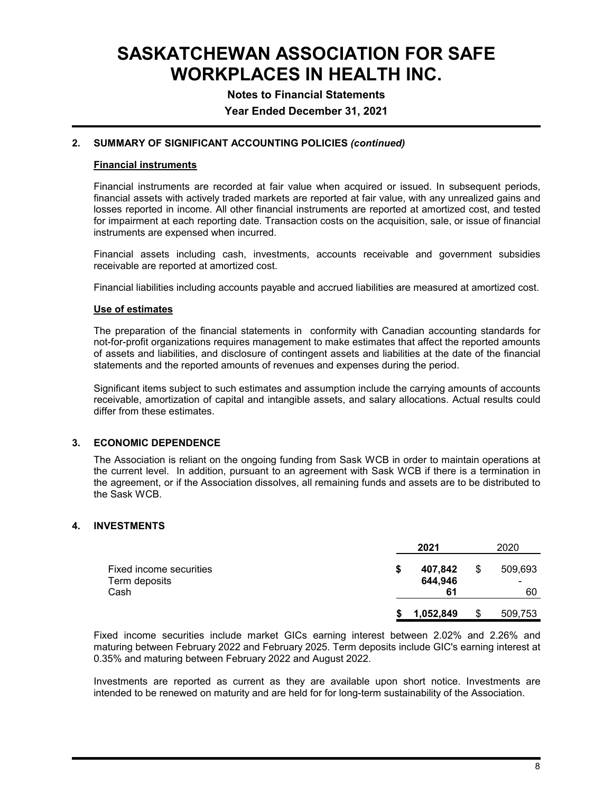**Notes to Financial Statements**

**Year Ended December 31, 2021**

## **2. SUMMARY OF SIGNIFICANT ACCOUNTING POLICIES** *(continued)*

### **Financial instruments**

Financial instruments are recorded at fair value when acquired or issued. In subsequent periods, financial assets with actively traded markets are reported at fair value, with any unrealized gains and losses reported in income. All other financial instruments are reported at amortized cost, and tested for impairment at each reporting date. Transaction costs on the acquisition, sale, or issue of financial instruments are expensed when incurred.

Financial assets including cash, investments, accounts receivable and government subsidies receivable are reported at amortized cost.

Financial liabilities including accounts payable and accrued liabilities are measured at amortized cost.

## **Use of estimates**

The preparation of the financial statements in conformity with Canadian accounting standards for not-for-profit organizations requires management to make estimates that affect the reported amounts of assets and liabilities, and disclosure of contingent assets and liabilities at the date of the financial statements and the reported amounts of revenues and expenses during the period.

Significant items subject to such estimates and assumption include the carrying amounts of accounts receivable, amortization of capital and intangible assets, and salary allocations. Actual results could differ from these estimates.

## **3. ECONOMIC DEPENDENCE**

The Association is reliant on the ongoing funding from Sask WCB in order to maintain operations at the current level. In addition, pursuant to an agreement with Sask WCB if there is a termination in the agreement, or if the Association dissolves, all remaining funds and assets are to be distributed to the Sask WCB.

## **4. INVESTMENTS**

|                                                  |   | 2021                     | 2020                     |
|--------------------------------------------------|---|--------------------------|--------------------------|
| Fixed income securities<br>Term deposits<br>Cash | S | 407,842<br>644,946<br>61 | \$<br>509,693<br>-<br>60 |
|                                                  |   | 1,052,849                | \$<br>509,753            |

Fixed income securities include market GICs earning interest between 2.02% and 2.26% and maturing between February 2022 and February 2025. Term deposits include GIC's earning interest at 0.35% and maturing between February 2022 and August 2022.

Investments are reported as current as they are available upon short notice. Investments are intended to be renewed on maturity and are held for for long-term sustainability of the Association.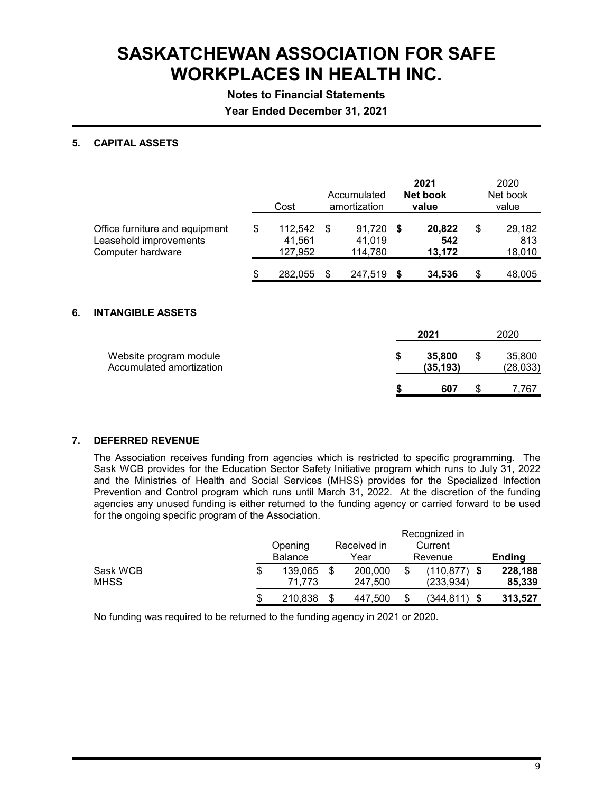**Notes to Financial Statements**

**Year Ended December 31, 2021**

## **5. CAPITAL ASSETS**

|    |                                                                               | Cost                               |      | Accumulated<br>amortization |      | 2021<br>Net book<br>value | 2020<br>Net book<br>value     |
|----|-------------------------------------------------------------------------------|------------------------------------|------|-----------------------------|------|---------------------------|-------------------------------|
|    | Office furniture and equipment<br>Leasehold improvements<br>Computer hardware | \$<br>112,542<br>41,561<br>127,952 | \$   | 91,720<br>41,019<br>114,780 | - \$ | 20,822<br>542<br>13,172   | \$<br>29,182<br>813<br>18,010 |
|    |                                                                               | 282,055                            | - \$ | 247,519 \$                  |      | 34,536                    | \$<br>48,005                  |
| 6. | <b>INTANGIBLE ASSETS</b>                                                      |                                    |      |                             |      | 2021                      | 2020                          |
|    | Website program module<br>Accumulated amortization                            |                                    |      |                             | \$   | 35,800<br>(35,193)        | \$<br>35,800<br>(28,033)      |
|    |                                                                               |                                    |      |                             | \$   | 607                       | \$<br>7,767                   |

## **7. DEFERRED REVENUE**

The Association receives funding from agencies which is restricted to specific programming. The Sask WCB provides for the Education Sector Safety Initiative program which runs to July 31, 2022 and the Ministries of Health and Social Services (MHSS) provides for the Specialized Infection Prevention and Control program which runs until March 31, 2022. At the discretion of the funding agencies any unused funding is either returned to the funding agency or carried forward to be used for the ongoing specific program of the Association.

|          |                |  |             |         | Recognized in   |               |
|----------|----------------|--|-------------|---------|-----------------|---------------|
|          | Opening        |  | Received in |         | Current         |               |
|          | <b>Balance</b> |  | Year        | Revenue |                 | <b>Ending</b> |
| Sask WCB | 139.065        |  | 200,000     |         | $(110, 877)$ \$ | 228,188       |
| MHSS     | 71.773         |  | 247,500     |         | (233, 934)      | 85,339        |
|          | 210.838        |  | 447.500     | \$      | (344.811<br>-S  | 313.527       |

No funding was required to be returned to the funding agency in 2021 or 2020.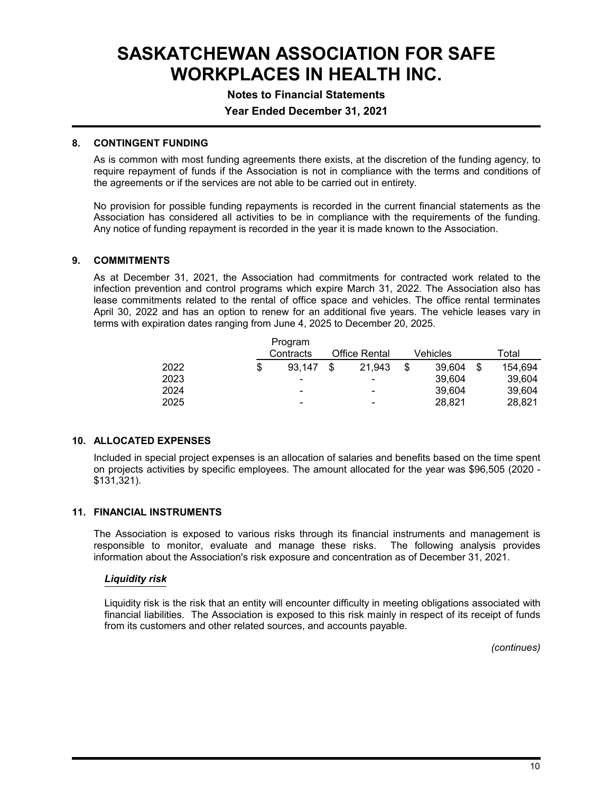# **Notes to Financial Statements**

## **Year Ended December 31, 2021**

#### **8. CONTINGENT FUNDING**

As is common with most funding agreements there exists, at the discretion of the funding agency, to require repayment of funds if the Association is not in compliance with the terms and conditions of the agreements or if the services are not able to be carried out in entirety.

No provision for possible funding repayments is recorded in the current financial statements as the Association has considered all activities to be in compliance with the requirements of the funding. Any notice of funding repayment is recorded in the year it is made known to the Association.

#### **9. COMMITMENTS**

As at December 31, 2021, the Association had commitments for contracted work related to the infection prevention and control programs which expire March 31, 2022. The Association also has lease commitments related to the rental of office space and vehicles. The office rental terminates April 30, 2022 and has an option to renew for an additional five years. The vehicle leases vary in terms with expiration dates ranging from June 4, 2025 to December 20, 2025.

|      | Program<br>Contracts | <b>Office Rental</b> |                | Vehicles     |    | Total   |
|------|----------------------|----------------------|----------------|--------------|----|---------|
| 2022 | 93.147               | \$.                  | 21.943         | \$<br>39.604 | -S | 154.694 |
| 2023 | -                    |                      | -              | 39.604       |    | 39.604  |
| 2024 | $\blacksquare$       |                      | $\blacksquare$ | 39.604       |    | 39.604  |
| 2025 | -                    |                      | -              | 28,821       |    | 28,821  |

## **10. ALLOCATED EXPENSES**

Included in special project expenses is an allocation of salaries and benefits based on the time spent on projects activities by specific employees. The amount allocated for the year was \$96,505 (2020 - \$131,321).

#### **11. FINANCIAL INSTRUMENTS**

The Association is exposed to various risks through its financial instruments and management is responsible to monitor, evaluate and manage these risks. The following analysis provides information about the Association's risk exposure and concentration as of December 31, 2021.

#### *Liquidity risk*

Liquidity risk is the risk that an entity will encounter difficulty in meeting obligations associated with financial liabilities. The Association is exposed to this risk mainly in respect of its receipt of funds from its customers and other related sources, and accounts payable.

*(continues)*